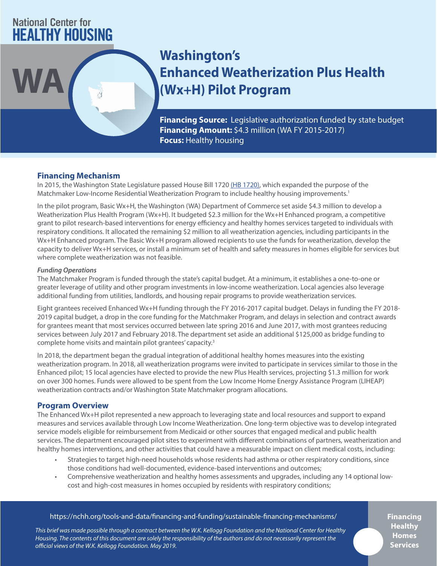# **National Center for HEALTHY HOUSING**

# **Washington's Enhanced Weatherization Plus Health WA (Wx+H) Pilot Program**

**Financing Source:** Legislative authorization funded by state budget **Financing Amount:** \$4.3 million (WA FY 2015-2017) **Focus:** Healthy housing

# **Financing Mechanism**

In 2015, the Washington State Legislature passed House Bill 1720 [\(HB 1720\)](http://lawfilesext.leg.wa.gov/biennium/2015-16/Pdf/Bills/House%20Passed%20Legislature/1720.PL.pdf), which expanded the purpose of the Matchmaker Low-Income Residential Weatherization Program to include healthy housing improvements.<sup>1</sup>

In the pilot program, Basic Wx+H, the Washington (WA) Department of Commerce set aside \$4.3 million to develop a Weatherization Plus Health Program (Wx+H). It budgeted \$2.3 million for the Wx+H Enhanced program, a competitive grant to pilot research-based interventions for energy efficiency and healthy homes services targeted to individuals with respiratory conditions. It allocated the remaining \$2 million to all weatherization agencies, including participants in the Wx+H Enhanced program. The Basic Wx+H program allowed recipients to use the funds for weatherization, develop the capacity to deliver Wx+H services, or install a minimum set of health and safety measures in homes eligible for services but where complete weatherization was not feasible.

## *Funding Operations*

The Matchmaker Program is funded through the state's capital budget. At a minimum, it establishes a one-to-one or greater leverage of utility and other program investments in low-income weatherization. Local agencies also leverage additional funding from utilities, landlords, and housing repair programs to provide weatherization services.

Eight grantees received Enhanced Wx+H funding through the FY 2016-2017 capital budget. Delays in funding the FY 2018- 2019 capital budget, a drop in the core funding for the Matchmaker Program, and delays in selection and contract awards for grantees meant that most services occurred between late spring 2016 and June 2017, with most grantees reducing services between July 2017 and February 2018. The department set aside an additional \$125,000 as bridge funding to complete home visits and maintain pilot grantees' capacity.3

In 2018, the department began the gradual integration of additional healthy homes measures into the existing weatherization program. In 2018, all weatherization programs were invited to participate in services similar to those in the Enhanced pilot; 15 local agencies have elected to provide the new Plus Health services, projecting \$1.3 million for work on over 300 homes. Funds were allowed to be spent from the Low Income Home Energy Assistance Program (LIHEAP) weatherization contracts and/or Washington State Matchmaker program allocations.

# **Program Overview**

The Enhanced Wx+H pilot represented a new approach to leveraging state and local resources and support to expand measures and services available through Low Income Weatherization. One long-term objective was to develop integrated service models eligible for reimbursement from Medicaid or other sources that engaged medical and public health services. The department encouraged pilot sites to experiment with different combinations of partners, weatherization and healthy homes interventions, and other activities that could have a measurable impact on client medical costs, including:

- Strategies to target high-need households whose residents had asthma or other respiratory conditions, since those conditions had well-documented, evidence-based interventions and outcomes;
- Comprehensive weatherization and healthy homes assessments and upgrades, including any 14 optional lowcost and high-cost measures in homes occupied by residents with respiratory conditions;

# <https://nchh.org/tools-and-data/financing-and-funding/sustainable-financing-mechanisms/>

*This brief was made possible through a contract between the W.K. Kellogg Foundation and the National Center for Healthy Housing. The contents of this document are solely the responsibility of the authors and do not necessarily represent the official views of the W.K. Kellogg Foundation. May 2019.*

**Financing Healthy Homes Services**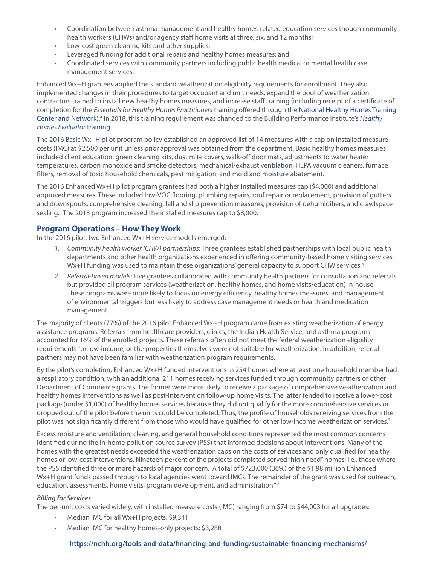- Coordination between asthma management and healthy homes-related education services though community health workers (CHWs) and/or agency staff home visits at three, six, and 12 months;
- Low-cost green cleaning kits and other supplies;
- Leveraged funding for additional repairs and healthy homes measures; and
- Coordinated services with community partners including public health medical or mental health case management services.

Enhanced Wx+H grantees applied the standard weatherization eligibility requirements for enrollment. They also implemented changes in their procedures to target occupant and unit needs, expand the pool of weatherization contractors trained to install new healthy homes measures, and increase staff training (including receipt of a certificate of completion for the *Essentials for Healthy Homes Practitioners* training offered through the [National Healthy Homes Training](https://nchh.org/who-we-are/healthy-housing-solutions/healthy-homes-training-center/)  [Center and Network](https://nchh.org/who-we-are/healthy-housing-solutions/healthy-homes-training-center/)).<sup>4</sup> In 2018, this training requirement was changed to the Building Performance Institute's Healthy *[Homes Evaluator](http://www.bpi.org/certified-professionals/healthy-home-evaluator)* training.

The 2016 Basic Wx+H pilot program policy established an approved list of 14 measures with a cap on installed measure costs (IMC) at \$2,500 per unit unless prior approval was obtained from the department. Basic healthy homes measures included client education, green cleaning kits, dust mite covers, walk-off door mats, adjustments to water heater temperatures, carbon monoxide and smoke detectors, mechanical/exhaust ventilation, HEPA vacuum cleaners, furnace filters, removal of toxic household chemicals, pest mitigation, and mold and moisture abatement.

The 2016 Enhanced Wx+H pilot program grantees had both a higher installed measures cap (\$4,000) and additional approved measures. These included low-VOC flooring, plumbing repairs, roof repair or replacement, provision of gutters and downspouts, comprehensive cleaning, fall and slip prevention measures, provision of dehumidifiers, and crawlspace sealing.<sup>5</sup> The 2018 program increased the installed measures cap to \$8,000.

# **Program Operations – How They Work**

In the 2016 pilot, two Enhanced Wx+H service models emerged:

- *1. Community health worker (CHW) partnerships*: Three grantees established partnerships with local public health departments and other health organizations experienced in offering community-based home visiting services. Wx+H funding was used to maintain these organizations' general capacity to support CHW services.<sup>6</sup>
- *2. Referral-based models*: Five grantees collaborated with community health partners for consultation and referrals but provided all program services (weatherization, healthy homes, and home visits/education) in-house. These programs were more likely to focus on energy efficiency, healthy homes measures, and management of environmental triggers but less likely to address case management needs or health and medication management.

The majority of clients (77%) of the 2016 pilot Enhanced Wx+H program came from existing weatherization of energy assistance programs. Referrals from healthcare providers, clinics, the Indian Health Service, and asthma programs accounted for 16% of the enrolled projects. These referrals often did not meet the federal weatherization eligbility requirements for low-income, or the properties themselves were not suitable for weatherization. In addition, referral partners may not have been familiar with weatherization program requirements.

By the pilot's completion, Enhanced Wx+H funded interventions in 254 homes where at least one household member had a respiratory condition, with an additional 211 homes receiving services funded through community partners or other Department of Commerce grants. The former were more likely to receive a package of comprehensive weatherization and healthy homes interventions as well as post-intervention follow-up home visits. The latter tended to receive a lower-cost package (under \$1,000) of healthy homes services because they did not qualify for the more comprehensive services or dropped out of the pilot before the units could be completed. Thus, the profile of households receiving services from the pilot was not significantly different from those who would have qualified for other low-income weatherization services.<sup>7</sup>

Excess moisture and ventilation, cleaning, and general household conditions represented the most common concerns identified during the in-home pollution source survey (PSS) that informed decisions about interventions. Many of the homes with the greatest needs exceeded the weatherization caps on the costs of services and only qualified for healthy homes or low-cost interventions. Nineteen percent of the projects completed served "high need" homes; i.e., those where the PSS identified three or more hazards of major concern. "A total of \$723,000 (36%) of the \$1.98 million Enhanced W<sub>x+</sub>H grant funds passed through to local agencies went toward IMCs. The remainder of the grant was used for outreach, education, assessments, home visits, program development, and administration." 8

#### *Billing for Services*

The per-unit costs varied widely, with installed measure costs (IMC) ranging from \$74 to \$44,003 for all upgrades:

- Median IMC for all Wx+H projects: \$9,341
- Median IMC for healthy homes-only projects: \$3,288

#### **<https://nchh.org/tools-and-data/financing-and-funding/sustainable-financing-mechanisms/>**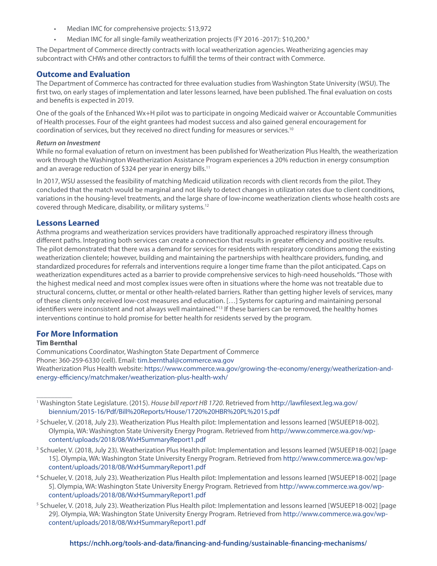- Median IMC for comprehensive projects: \$13,972
- Median IMC for all single-family weatherization projects (FY 2016 -2017): \$10,200.9

The Department of Commerce directly contracts with local weatherization agencies. Weatherizing agencies may subcontract with CHWs and other contractors to fulfill the terms of their contract with Commerce.

#### **Outcome and Evaluation**

The Department of Commerce has contracted for three evaluation studies from Washington State University (WSU). The first two, on early stages of implementation and later lessons learned, have been published. The final evaluation on costs and benefits is expected in 2019.

One of the goals of the Enhanced Wx+H pilot was to participate in ongoing Medicaid waiver or Accountable Communities of Health processes. Four of the eight grantees had modest success and also gained general encouragement for coordination of services, but they received no direct funding for measures or services.10

#### *Return on Investment*

While no formal evaluation of return on investment has been published for Weatherization Plus Health, the weatherization work through the Washington Weatherization Assistance Program experiences a 20% reduction in energy consumption and an average reduction of \$324 per year in energy bills.<sup>11</sup>

In 2017, WSU assessed the feasibility of matching Medicaid utilization records with client records from the pilot. They concluded that the match would be marginal and not likely to detect changes in utilization rates due to client conditions, variations in the housing-level treatments, and the large share of low-income weatherization clients whose health costs are covered through Medicare, disability, or military systems.12

#### **Lessons Learned**

Asthma programs and weatherization services providers have traditionally approached respiratory illness through different paths. Integrating both services can create a connection that results in greater efficiency and positive results. The pilot demonstrated that there was a demand for services for residents with respiratory conditions among the existing weatherization clientele; however, building and maintaining the partnerships with healthcare providers, funding, and standardized procedures for referrals and interventions require a longer time frame than the pilot anticipated. Caps on weatherization expenditures acted as a barrier to provide comprehensive services to high-need households. "Those with the highest medical need and most complex issues were often in situations where the home was not treatable due to structural concerns, clutter, or mental or other health-related barriers. Rather than getting higher levels of services, many of these clients only received low-cost measures and education. […] Systems for capturing and maintaining personal identifiers were inconsistent and not always well maintained."<sup>13</sup> If these barriers can be removed, the healthy homes interventions continue to hold promise for better health for residents served by the program.

## **For More Information**

#### **Tim Bernthal**

 $\overline{\phantom{a}}$  . The contract of the contract of  $\overline{\phantom{a}}$ 

Communications Coordinator, Washington State Department of Commerce Phone: 360-259-6330 (cell). Email: [tim.bernthal@commerce.wa.gov](mailto:tim.bernthal%40commerce.wa.gov?subject=)  Weatherization Plus Health website: [https://www.commerce.wa.gov/growing-the-economy/energy/weatherization-and](https://www.commerce.wa.gov/growing-the-economy/energy/weatherization-and-energy-efficiency/matchmaker/weatherization-plus-health-wxh/)[energy-efficiency/matchmaker/weatherization-plus-health-wxh/](https://www.commerce.wa.gov/growing-the-economy/energy/weatherization-and-energy-efficiency/matchmaker/weatherization-plus-health-wxh/)

1 Washington State Legislature. (2015). *House bill report HB 1720*. Retrieved from [http://lawfilesext.leg.wa.gov/](http://lawfilesext.leg.wa.gov/biennium/2015-16/Pdf/Bill%20Reports/House/1720%20HBR%20PL%2015.pdf ) [biennium/2015-16/Pdf/Bill%20Reports/House/1720%20HBR%20PL%2015.pdf](http://lawfilesext.leg.wa.gov/biennium/2015-16/Pdf/Bill%20Reports/House/1720%20HBR%20PL%2015.pdf ) 

- 2 Schueler, V. (2018, July 23). Weatherization Plus Health pilot: Implementation and lessons learned [WSUEEP18-002]. Olympia, WA: Washington State University Energy Program. Retrieved from [http://www.commerce.wa.gov/wp](http://www.commerce.wa.gov/wp-content/uploads/2018/08/WxHSummaryReport1.pdf)[content/uploads/2018/08/WxHSummaryReport1.pdf](http://www.commerce.wa.gov/wp-content/uploads/2018/08/WxHSummaryReport1.pdf)
- 3 Schueler, V. (2018, July 23). Weatherization Plus Health pilot: Implementation and lessons learned [WSUEEP18-002] [page 15]. Olympia, WA: Washington State University Energy Program. Retrieved from [http://www.commerce.wa.gov/wp](http://www.commerce.wa.gov/wp-content/uploads/2018/08/WxHSummaryReport1.pdf)[content/uploads/2018/08/WxHSummaryReport1.pdf](http://www.commerce.wa.gov/wp-content/uploads/2018/08/WxHSummaryReport1.pdf)
- 4 Schueler, V. (2018, July 23). Weatherization Plus Health pilot: Implementation and lessons learned [WSUEEP18-002] [page 5]. Olympia, WA: Washington State University Energy Program. Retrieved from [http://www.commerce.wa.gov/wp](http://www.commerce.wa.gov/wp-content/uploads/2018/08/WxHSummaryReport1.pdf )[content/uploads/2018/08/WxHSummaryReport1.pdf](http://www.commerce.wa.gov/wp-content/uploads/2018/08/WxHSummaryReport1.pdf )
- 5 Schueler, V. (2018, July 23). Weatherization Plus Health pilot: Implementation and lessons learned [WSUEEP18-002] [page 29]. Olympia, WA: Washington State University Energy Program. Retrieved from [http://www.commerce.wa.gov/wp](http://www.commerce.wa.gov/wp-content/uploads/2018/08/WxHSummaryReport1.pdf)[content/uploads/2018/08/WxHSummaryReport1.pdf](http://www.commerce.wa.gov/wp-content/uploads/2018/08/WxHSummaryReport1.pdf)